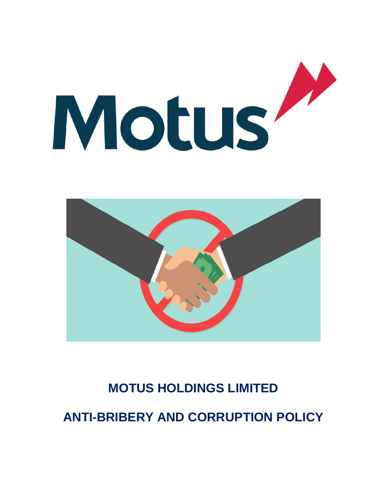



# **MOTUS HOLDINGS LIMITED**

**ANTI-BRIBERY AND CORRUPTION POLICY**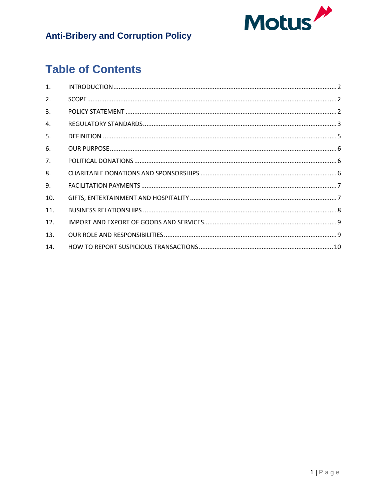

# **Table of Contents**

| $\mathbf{1}$ . |  |
|----------------|--|
| 2.             |  |
| 3.             |  |
| 4.             |  |
| 5.             |  |
| 6.             |  |
| 7.             |  |
| 8.             |  |
| 9.             |  |
| 10.            |  |
| 11.            |  |
| 12.            |  |
| 13.            |  |
| 14.            |  |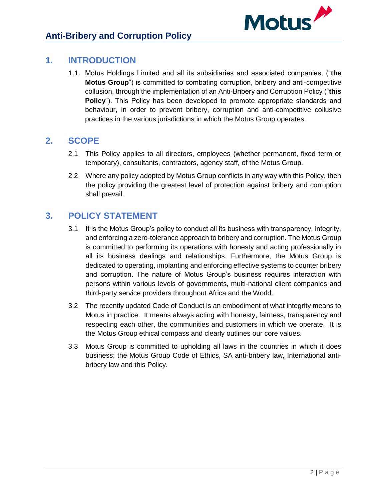

## <span id="page-2-0"></span>**1. INTRODUCTION**

1.1. Motus Holdings Limited and all its subsidiaries and associated companies, ("**the Motus Group**") is committed to combating corruption, bribery and anti-competitive collusion, through the implementation of an Anti-Bribery and Corruption Policy ("**this Policy**"). This Policy has been developed to promote appropriate standards and behaviour, in order to prevent bribery, corruption and anti-competitive collusive practices in the various jurisdictions in which the Motus Group operates.

### <span id="page-2-1"></span>**2. SCOPE**

- 2.1 This Policy applies to all directors, employees (whether permanent, fixed term or temporary), consultants, contractors, agency staff, of the Motus Group.
- 2.2 Where any policy adopted by Motus Group conflicts in any way with this Policy, then the policy providing the greatest level of protection against bribery and corruption shall prevail.

# <span id="page-2-2"></span>**3. POLICY STATEMENT**

- 3.1 It is the Motus Group's policy to conduct all its business with transparency, integrity, and enforcing a zero-tolerance approach to bribery and corruption. The Motus Group is committed to performing its operations with honesty and acting professionally in all its business dealings and relationships. Furthermore, the Motus Group is dedicated to operating, implanting and enforcing effective systems to counter bribery and corruption. The nature of Motus Group's business requires interaction with persons within various levels of governments, multi-national client companies and third-party service providers throughout Africa and the World.
- 3.2 The recently updated Code of Conduct is an embodiment of what integrity means to Motus in practice. It means always acting with honesty, fairness, transparency and respecting each other, the communities and customers in which we operate. It is the Motus Group ethical compass and clearly outlines our core values.
- 3.3 Motus Group is committed to upholding all laws in the countries in which it does business; the Motus Group Code of Ethics, SA anti-bribery law, International antibribery law and this Policy.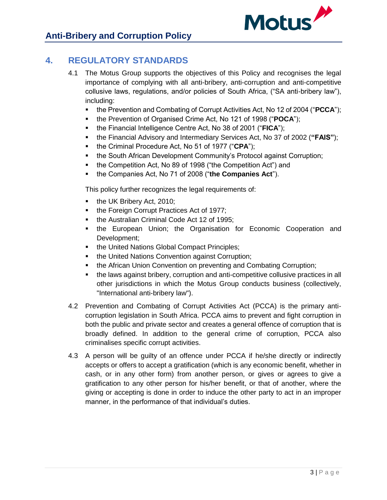

# <span id="page-3-0"></span>**4. REGULATORY STANDARDS**

- 4.1 The Motus Group supports the objectives of this Policy and recognises the legal importance of complying with all anti-bribery, anti-corruption and anti-competitive collusive laws, regulations, and/or policies of South Africa, ("SA anti-bribery law"), including:
	- the Prevention and Combating of Corrupt Activities Act, No 12 of 2004 ("**PCCA**");
	- **the Prevention of Organised Crime Act, No 121 of 1998 ("POCA");**
	- the Financial Intelligence Centre Act, No 38 of 2001 ("**FICA**");
	- the Financial Advisory and Intermediary Services Act, No 37 of 2002 (**"FAIS"**);
	- the Criminal Procedure Act, No 51 of 1977 ("**CPA**");
	- the South African Development Community's Protocol against Corruption;
	- the Competition Act, No 89 of 1998 ("the Competition Act") and
	- the Companies Act, No 71 of 2008 ("**the Companies Act**").

This policy further recognizes the legal requirements of:

- the UK Bribery Act, 2010;
- the Foreign Corrupt Practices Act of 1977;
- the Australian Criminal Code Act 12 of 1995;
- the European Union; the Organisation for Economic Cooperation and Development;
- the United Nations Global Compact Principles;
- the United Nations Convention against Corruption;
- the African Union Convention on preventing and Combating Corruption;
- the laws against bribery, corruption and anti-competitive collusive practices in all other jurisdictions in which the Motus Group conducts business (collectively, "International anti-bribery law").
- 4.2 Prevention and Combating of Corrupt Activities Act (PCCA) is the primary anticorruption legislation in South Africa. PCCA aims to prevent and fight corruption in both the public and private sector and creates a general offence of corruption that is broadly defined. In addition to the general crime of corruption, PCCA also criminalises specific corrupt activities.
- 4.3 A person will be guilty of an offence under PCCA if he/she directly or indirectly accepts or offers to accept a gratification (which is any economic benefit, whether in cash, or in any other form) from another person, or gives or agrees to give a gratification to any other person for his/her benefit, or that of another, where the giving or accepting is done in order to induce the other party to act in an improper manner, in the performance of that individual's duties.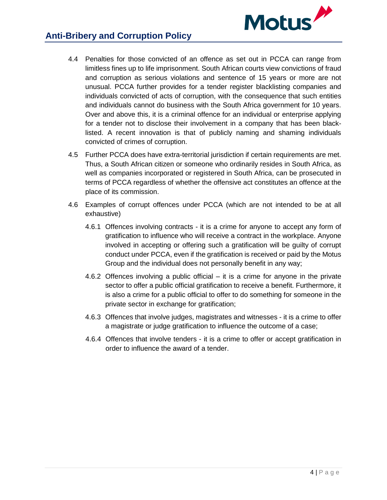

# **Anti-Bribery and Corruption Policy**

- 4.4 Penalties for those convicted of an offence as set out in PCCA can range from limitless fines up to life imprisonment. South African courts view convictions of fraud and corruption as serious violations and sentence of 15 years or more are not unusual. PCCA further provides for a tender register blacklisting companies and individuals convicted of acts of corruption, with the consequence that such entities and individuals cannot do business with the South Africa government for 10 years. Over and above this, it is a criminal offence for an individual or enterprise applying for a tender not to disclose their involvement in a company that has been blacklisted. A recent innovation is that of publicly naming and shaming individuals convicted of crimes of corruption.
- 4.5 Further PCCA does have extra-territorial jurisdiction if certain requirements are met. Thus, a South African citizen or someone who ordinarily resides in South Africa, as well as companies incorporated or registered in South Africa, can be prosecuted in terms of PCCA regardless of whether the offensive act constitutes an offence at the place of its commission.
- 4.6 Examples of corrupt offences under PCCA (which are not intended to be at all exhaustive)
	- 4.6.1 Offences involving contracts it is a crime for anyone to accept any form of gratification to influence who will receive a contract in the workplace. Anyone involved in accepting or offering such a gratification will be guilty of corrupt conduct under PCCA, even if the gratification is received or paid by the Motus Group and the individual does not personally benefit in any way;
	- 4.6.2 Offences involving a public official it is a crime for anyone in the private sector to offer a public official gratification to receive a benefit. Furthermore, it is also a crime for a public official to offer to do something for someone in the private sector in exchange for gratification;
	- 4.6.3 Offences that involve judges, magistrates and witnesses it is a crime to offer a magistrate or judge gratification to influence the outcome of a case;
	- 4.6.4 Offences that involve tenders it is a crime to offer or accept gratification in order to influence the award of a tender.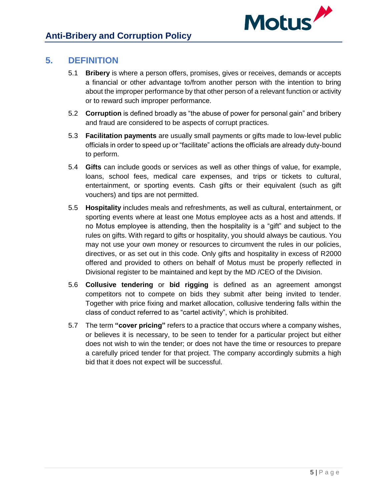

# <span id="page-5-0"></span>**5. DEFINITION**

- 5.1 **Bribery** is where a person offers, promises, gives or receives, demands or accepts a financial or other advantage to/from another person with the intention to bring about the improper performance by that other person of a relevant function or activity or to reward such improper performance.
- 5.2 **Corruption** is defined broadly as "the abuse of power for personal gain" and bribery and fraud are considered to be aspects of corrupt practices.
- 5.3 **Facilitation payments** are usually small payments or gifts made to low-level public officials in order to speed up or "facilitate" actions the officials are already duty-bound to perform.
- 5.4 **Gifts** can include goods or services as well as other things of value, for example, loans, school fees, medical care expenses, and trips or tickets to cultural, entertainment, or sporting events. Cash gifts or their equivalent (such as gift vouchers) and tips are not permitted.
- 5.5 **Hospitality** includes meals and refreshments, as well as cultural, entertainment, or sporting events where at least one Motus employee acts as a host and attends. If no Motus employee is attending, then the hospitality is a "gift" and subject to the rules on gifts. With regard to gifts or hospitality, you should always be cautious. You may not use your own money or resources to circumvent the rules in our policies, directives, or as set out in this code. Only gifts and hospitality in excess of R2000 offered and provided to others on behalf of Motus must be properly reflected in Divisional register to be maintained and kept by the MD /CEO of the Division.
- 5.6 **Collusive tendering** or **bid rigging** is defined as an agreement amongst competitors not to compete on bids they submit after being invited to tender. Together with price fixing and market allocation, collusive tendering falls within the class of conduct referred to as "cartel activity", which is prohibited.
- 5.7 The term **"cover pricing"** refers to a practice that occurs where a company wishes, or believes it is necessary, to be seen to tender for a particular project but either does not wish to win the tender; or does not have the time or resources to prepare a carefully priced tender for that project. The company accordingly submits a high bid that it does not expect will be successful.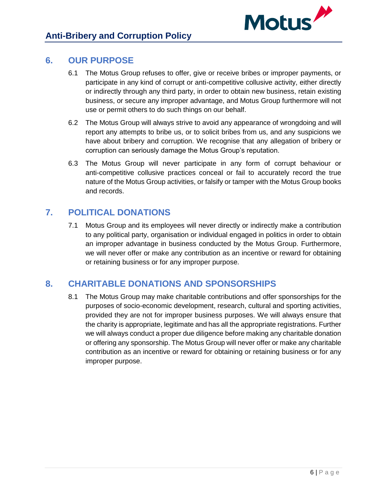

### <span id="page-6-0"></span>**6. OUR PURPOSE**

- 6.1 The Motus Group refuses to offer, give or receive bribes or improper payments, or participate in any kind of corrupt or anti-competitive collusive activity, either directly or indirectly through any third party, in order to obtain new business, retain existing business, or secure any improper advantage, and Motus Group furthermore will not use or permit others to do such things on our behalf.
- 6.2 The Motus Group will always strive to avoid any appearance of wrongdoing and will report any attempts to bribe us, or to solicit bribes from us, and any suspicions we have about bribery and corruption. We recognise that any allegation of bribery or corruption can seriously damage the Motus Group's reputation.
- 6.3 The Motus Group will never participate in any form of corrupt behaviour or anti-competitive collusive practices conceal or fail to accurately record the true nature of the Motus Group activities, or falsify or tamper with the Motus Group books and records.

# <span id="page-6-1"></span>**7. POLITICAL DONATIONS**

7.1 Motus Group and its employees will never directly or indirectly make a contribution to any political party, organisation or individual engaged in politics in order to obtain an improper advantage in business conducted by the Motus Group. Furthermore, we will never offer or make any contribution as an incentive or reward for obtaining or retaining business or for any improper purpose.

# <span id="page-6-2"></span>**8. CHARITABLE DONATIONS AND SPONSORSHIPS**

8.1 The Motus Group may make charitable contributions and offer sponsorships for the purposes of socio-economic development, research, cultural and sporting activities, provided they are not for improper business purposes. We will always ensure that the charity is appropriate, legitimate and has all the appropriate registrations. Further we will always conduct a proper due diligence before making any charitable donation or offering any sponsorship. The Motus Group will never offer or make any charitable contribution as an incentive or reward for obtaining or retaining business or for any improper purpose.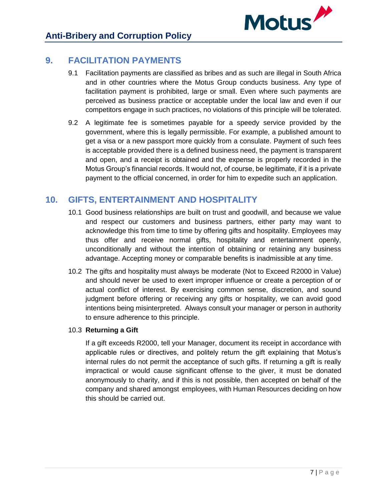

### <span id="page-7-0"></span>**9. FACILITATION PAYMENTS**

- 9.1 Facilitation payments are classified as bribes and as such are illegal in South Africa and in other countries where the Motus Group conducts business. Any type of facilitation payment is prohibited, large or small. Even where such payments are perceived as business practice or acceptable under the local law and even if our competitors engage in such practices, no violations of this principle will be tolerated.
- 9.2 A legitimate fee is sometimes payable for a speedy service provided by the government, where this is legally permissible. For example, a published amount to get a visa or a new passport more quickly from a consulate. Payment of such fees is acceptable provided there is a defined business need, the payment is transparent and open, and a receipt is obtained and the expense is properly recorded in the Motus Group's financial records. It would not, of course, be legitimate, if it is a private payment to the official concerned, in order for him to expedite such an application.

## <span id="page-7-1"></span>**10. GIFTS, ENTERTAINMENT AND HOSPITALITY**

- 10.1 Good business relationships are built on trust and goodwill, and because we value and respect our customers and business partners, either party may want to acknowledge this from time to time by offering gifts and hospitality. Employees may thus offer and receive normal gifts, hospitality and entertainment openly, unconditionally and without the intention of obtaining or retaining any business advantage. Accepting money or comparable benefits is inadmissible at any time.
- 10.2 The gifts and hospitality must always be moderate (Not to Exceed R2000 in Value) and should never be used to exert improper influence or create a perception of or actual conflict of interest. By exercising common sense, discretion, and sound judgment before offering or receiving any gifts or hospitality, we can avoid good intentions being misinterpreted. Always consult your manager or person in authority to ensure adherence to this principle.

#### 10.3 **Returning a Gift**

If a gift exceeds R2000, tell your Manager, document its receipt in accordance with applicable rules or directives, and politely return the gift explaining that Motus's internal rules do not permit the acceptance of such gifts. If returning a gift is really impractical or would cause significant offense to the giver, it must be donated anonymously to charity, and if this is not possible, then accepted on behalf of the company and shared amongst employees, with Human Resources deciding on how this should be carried out.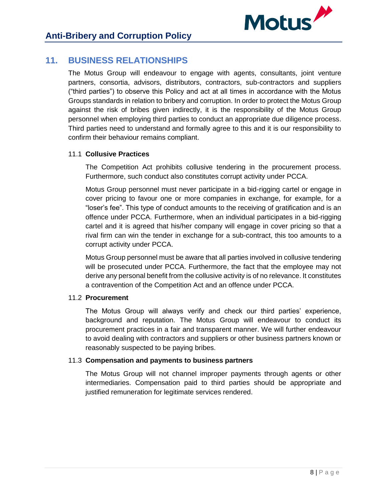

# <span id="page-8-0"></span>**11. BUSINESS RELATIONSHIPS**

The Motus Group will endeavour to engage with agents, consultants, joint venture partners, consortia, advisors, distributors, contractors, sub-contractors and suppliers ("third parties") to observe this Policy and act at all times in accordance with the Motus Groups standards in relation to bribery and corruption. In order to protect the Motus Group against the risk of bribes given indirectly, it is the responsibility of the Motus Group personnel when employing third parties to conduct an appropriate due diligence process. Third parties need to understand and formally agree to this and it is our responsibility to confirm their behaviour remains compliant.

#### 11.1 **Collusive Practices**

The Competition Act prohibits collusive tendering in the procurement process. Furthermore, such conduct also constitutes corrupt activity under PCCA.

Motus Group personnel must never participate in a bid-rigging cartel or engage in cover pricing to favour one or more companies in exchange, for example, for a "loser's fee". This type of conduct amounts to the receiving of gratification and is an offence under PCCA. Furthermore, when an individual participates in a bid-rigging cartel and it is agreed that his/her company will engage in cover pricing so that a rival firm can win the tender in exchange for a sub-contract, this too amounts to a corrupt activity under PCCA.

Motus Group personnel must be aware that all parties involved in collusive tendering will be prosecuted under PCCA. Furthermore, the fact that the employee may not derive any personal benefit from the collusive activity is of no relevance. It constitutes a contravention of the Competition Act and an offence under PCCA.

#### 11.2 **Procurement**

The Motus Group will always verify and check our third parties' experience, background and reputation. The Motus Group will endeavour to conduct its procurement practices in a fair and transparent manner. We will further endeavour to avoid dealing with contractors and suppliers or other business partners known or reasonably suspected to be paying bribes.

#### 11.3 **Compensation and payments to business partners**

The Motus Group will not channel improper payments through agents or other intermediaries. Compensation paid to third parties should be appropriate and justified remuneration for legitimate services rendered.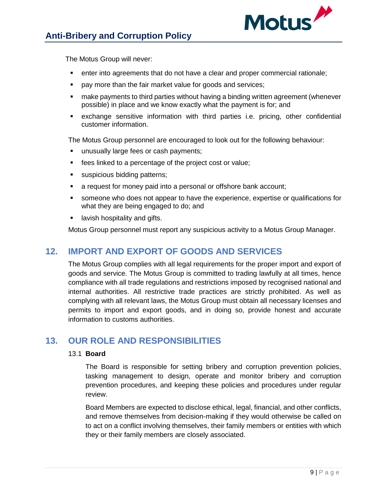

The Motus Group will never:

- enter into agreements that do not have a clear and proper commercial rationale;
- **pay more than the fair market value for goods and services:**
- make payments to third parties without having a binding written agreement (whenever possible) in place and we know exactly what the payment is for; and
- exchange sensitive information with third parties i.e. pricing, other confidential customer information.

The Motus Group personnel are encouraged to look out for the following behaviour:

- unusually large fees or cash payments;
- **fees linked to a percentage of the project cost or value;**
- **suspicious bidding patterns;**
- a request for money paid into a personal or offshore bank account;
- someone who does not appear to have the experience, expertise or qualifications for what they are being engaged to do; and
- **If** lavish hospitality and gifts.

Motus Group personnel must report any suspicious activity to a Motus Group Manager.

### <span id="page-9-0"></span>**12. IMPORT AND EXPORT OF GOODS AND SERVICES**

The Motus Group complies with all legal requirements for the proper import and export of goods and service. The Motus Group is committed to trading lawfully at all times, hence compliance with all trade regulations and restrictions imposed by recognised national and internal authorities. All restrictive trade practices are strictly prohibited. As well as complying with all relevant laws, the Motus Group must obtain all necessary licenses and permits to import and export goods, and in doing so, provide honest and accurate information to customs authorities.

### <span id="page-9-1"></span>**13. OUR ROLE AND RESPONSIBILITIES**

#### 13.1 **Board**

The Board is responsible for setting bribery and corruption prevention policies, tasking management to design, operate and monitor bribery and corruption prevention procedures, and keeping these policies and procedures under regular review.

Board Members are expected to disclose ethical, legal, financial, and other conflicts, and remove themselves from decision-making if they would otherwise be called on to act on a conflict involving themselves, their family members or entities with which they or their family members are closely associated.